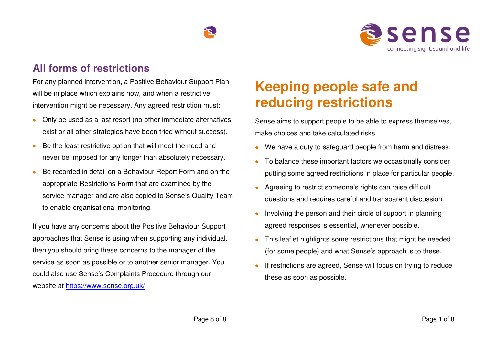



### **All forms of restrictions**

For any planned intervention, a Positive Behaviour Support Plan will be in place which explains how, and when a restrictive intervention might be necessary. Any agreed restriction must:

- Only be used as a last resort (no other immediate alternatives exist or all other strategies have been tried without success).
- Be the least restrictive option that will meet the need and never be imposed for any longer than absolutely necessary.
- Be recorded in detail on a Behaviour Report Form and on the appropriate Restrictions Form that are examined by the service manager and are also copied to Sense's Quality Team to enable organisational monitoring.

If you have any concerns about the Positive Behaviour Support approaches that Sense is using when supporting any individual, then you should bring these concerns to the manager of the service as soon as possible or to another senior manager. You could also use Sense's Complaints Procedure through our website at<https://www.sense.org.uk/>

# **Keeping people safe and reducing restrictions**

Sense aims to support people to be able to express themselves, make choices and take calculated risks.

- We have a duty to safeguard people from harm and distress.
- To balance these important factors we occasionally consider putting some agreed restrictions in place for particular people.
- Agreeing to restrict someone's rights can raise difficult questions and requires careful and transparent discussion.
- Involving the person and their circle of support in planning agreed responses is essential, whenever possible.
- This leaflet highlights some restrictions that might be needed (for some people) and what Sense's approach is to these.
- If restrictions are agreed, Sense will focus on trying to reduce these as soon as possible.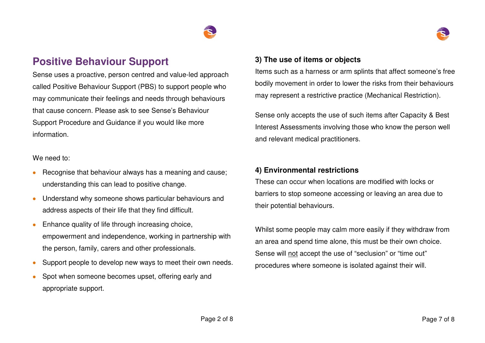### **Positive Behaviour Support**

Sense uses a proactive, person centred and value-led approach called Positive Behaviour Support (PBS) to support people who may communicate their feelings and needs through behaviours that cause concern. Please ask to see Sense's Behaviour Support Procedure and Guidance if you would like more information.

We need to:

- Recognise that behaviour always has a meaning and cause; understanding this can lead to positive change.
- Understand why someone shows particular behaviours and address aspects of their life that they find difficult.
- Enhance quality of life through increasing choice, empowerment and independence, working in partnership with the person, family, carers and other professionals.
- Support people to develop new ways to meet their own needs.
- Spot when someone becomes upset, offering early and appropriate support.

### **3) The use of items or objects**

Items such as a harness or arm splints that affect someone's free bodily movement in order to lower the risks from their behaviours may represent a restrictive practice (Mechanical Restriction).

Sense only accepts the use of such items after Capacity & Best Interest Assessments involving those who know the person well and relevant medical practitioners.

#### **4) Environmental restrictions**

These can occur when locations are modified with locks or barriers to stop someone accessing or leaving an area due to their potential behaviours.

Whilst some people may calm more easily if they withdraw from an area and spend time alone, this must be their own choice. Sense will not accept the use of "seclusion" or "time out" procedures where someone is isolated against their will.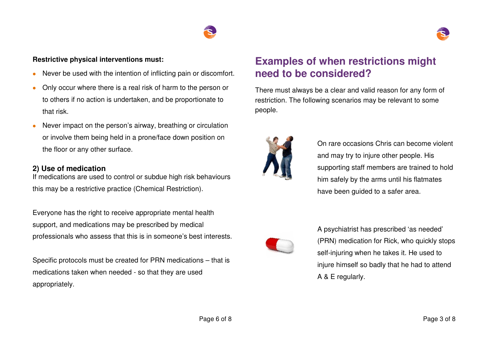



#### **Restrictive physical interventions must:**

- Never be used with the intention of inflicting pain or discomfort.
- Only occur where there is a real risk of harm to the person or to others if no action is undertaken, and be proportionate to that risk.
- Never impact on the person's airway, breathing or circulation or involve them being held in a prone/face down position on the floor or any other surface.

#### **2) Use of medication**

If medications are used to control or subdue high risk behaviours this may be a restrictive practice (Chemical Restriction).

Everyone has the right to receive appropriate mental health support, and medications may be prescribed by medical professionals who assess that this is in someone's best interests.

Specific protocols must be created for PRN medications – that is medications taken when needed - so that they are used appropriately.

## **Examples of when restrictions might need to be considered?**

There must always be a clear and valid reason for any form of restriction. The following scenarios may be relevant to some people.



On rare occasions Chris can become violent and may try to injure other people. His supporting staff members are trained to hold him safely by the arms until his flatmates have been guided to a safer area.



A psychiatrist has prescribed 'as needed' (PRN) medication for Rick, who quickly stops self-injuring when he takes it. He used to injure himself so badly that he had to attend A & E regularly.